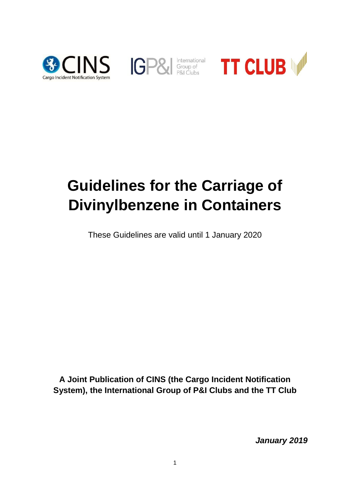





# **Guidelines for the Carriage of Divinylbenzene in Containers**

These Guidelines are valid until 1 January 2020

**A Joint Publication of CINS (the Cargo Incident Notification System), the International Group of P&I Clubs and the TT Club**

*January 2019*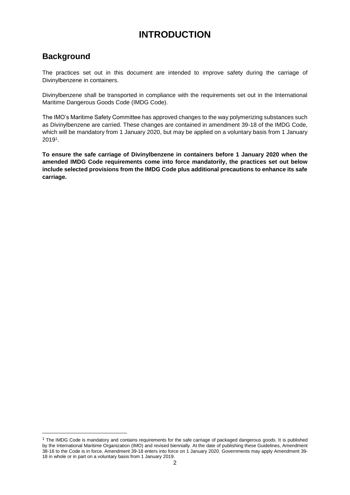# **INTRODUCTION**

# **Background**

-

The practices set out in this document are intended to improve safety during the carriage of Divinylbenzene in containers.

Divinylbenzene shall be transported in compliance with the requirements set out in the International Maritime Dangerous Goods Code (IMDG Code).

The IMO's Maritime Safety Committee has approved changes to the way polymerizing substances such as Divinylbenzene are carried. These changes are contained in amendment 39-18 of the IMDG Code, which will be mandatory from 1 January 2020, but may be applied on a voluntary basis from 1 January 2019<sup>1</sup> .

**To ensure the safe carriage of Divinylbenzene in containers before 1 January 2020 when the amended IMDG Code requirements come into force mandatorily, the practices set out below include selected provisions from the IMDG Code plus additional precautions to enhance its safe carriage.**

 $1$  The IMDG Code is mandatory and contains requirements for the safe carriage of packaged dangerous goods. It is published by the International Maritime Organization (IMO) and revised biennially. At the date of publishing these Guidelines, Amendment 38-16 to the Code is in force. Amendment 39-18 enters into force on 1 January 2020. Governments may apply Amendment 39- 18 in whole or in part on a voluntary basis from 1 January 2019.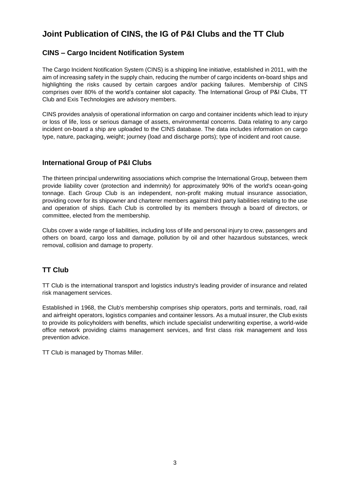# **Joint Publication of CINS, the IG of P&I Clubs and the TT Club**

## **CINS – Cargo Incident Notification System**

The Cargo Incident Notification System (CINS) is a shipping line initiative, established in 2011, with the aim of increasing safety in the supply chain, reducing the number of [cargo incidents](http://www.cinsnet.com/?page_id=63) on-board ships and highlighting the risks caused by certain cargoes and/or packing failures. Membership of CINS comprises over 80% of the world's container slot capacity. The International Group of P&I Clubs, TT Club and Exis Technologies are advisory members.

CINS provides analysis of operational information on cargo and container incidents which lead to injury or loss of life, loss or serious damage of assets, environmental concerns. Data relating to any cargo incident on-board a ship are uploaded to the CINS database. The data includes information on cargo type, nature, packaging, weight; journey (load and discharge ports); type of incident and root cause.

#### **International Group of P&I Clubs**

The thirteen principal underwriting associations which comprise the International Group, between them provide liability cover (protection and indemnity) for approximately 90% of the world's ocean-going tonnage. Each Group Club is an independent, non-profit making mutual insurance association, providing cover for its shipowner and charterer members against third party liabilities relating to the use and operation of ships. Each Club is controlled by its members through a board of directors, or committee, elected from the membership.

Clubs cover a wide range of liabilities, including loss of life and personal injury to crew, passengers and others on board, cargo loss and damage, pollution by oil and other hazardous substances, wreck removal, collision and damage to property.

# **TT Club**

TT Club is the international transport and logistics industry's leading provider of insurance and related risk management services.

Established in 1968, the Club's membership comprises ship operators, ports and terminals, road, rail and airfreight operators, logistics companies and container lessors. As a mutual insurer, the Club exists to provide its policyholders with benefits, which include specialist underwriting expertise, a world-wide office network providing claims management services, and first class risk management and loss prevention advice.

TT Club is managed by Thomas Miller.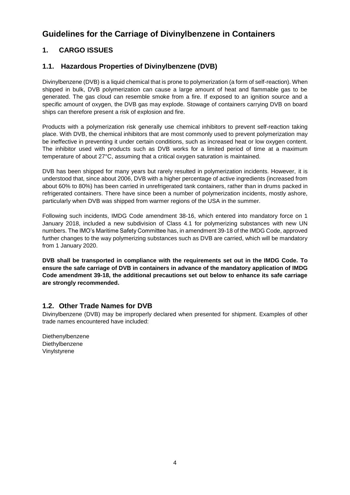# **Guidelines for the Carriage of Divinylbenzene in Containers**

# **1. CARGO ISSUES**

## **1.1. Hazardous Properties of Divinylbenzene (DVB)**

Divinylbenzene (DVB) is a liquid chemical that is prone to polymerization (a form of self-reaction). When shipped in bulk, DVB polymerization can cause a large amount of heat and flammable gas to be generated. The gas cloud can resemble smoke from a fire. If exposed to an ignition source and a specific amount of oxygen, the DVB gas may explode. Stowage of containers carrying DVB on board ships can therefore present a risk of explosion and fire.

Products with a polymerization risk generally use chemical inhibitors to prevent self-reaction taking place. With DVB, the chemical inhibitors that are most commonly used to prevent polymerization may be ineffective in preventing it under certain conditions, such as increased heat or low oxygen content. The inhibitor used with products such as DVB works for a limited period of time at a maximum temperature of about 27°C, assuming that a critical oxygen saturation is maintained.

DVB has been shipped for many years but rarely resulted in polymerization incidents. However, it is understood that, since about 2006, DVB with a higher percentage of active ingredients (increased from about 60% to 80%) has been carried in unrefrigerated tank containers, rather than in drums packed in refrigerated containers. There have since been a number of polymerization incidents, mostly ashore, particularly when DVB was shipped from warmer regions of the USA in the summer.

Following such incidents, IMDG Code amendment 38-16, which entered into mandatory force on 1 January 2018, included a new subdivision of Class 4.1 for polymerizing substances with new UN numbers. The IMO's Maritime Safety Committee has, in amendment 39-18 of the IMDG Code, approved further changes to the way polymerizing substances such as DVB are carried, which will be mandatory from 1 January 2020.

**DVB shall be transported in compliance with the requirements set out in the IMDG Code. To ensure the safe carriage of DVB in containers in advance of the mandatory application of IMDG Code amendment 39-18, the additional precautions set out below to enhance its safe carriage are strongly recommended.**

#### **1.2. Other Trade Names for DVB**

Divinylbenzene (DVB) may be improperly declared when presented for shipment. Examples of other trade names encountered have included:

Diethenylbenzene Diethylbenzene Vinylstyrene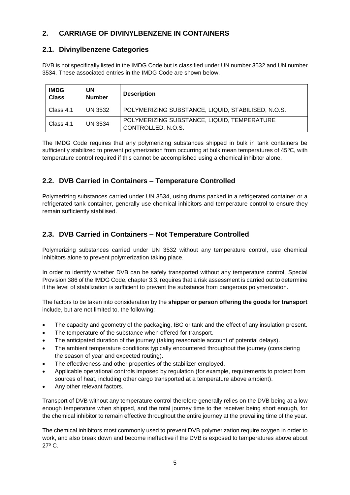# **2. CARRIAGE OF DIVINYLBENZENE IN CONTAINERS**

# **2.1. Divinylbenzene Categories**

DVB is not specifically listed in the IMDG Code but is classified under UN number 3532 and UN number 3534. These associated entries in the IMDG Code are shown below.

| <b>IMDG</b><br><b>Class</b> | <b>UN</b><br><b>Number</b> | <b>Description</b>                                                |
|-----------------------------|----------------------------|-------------------------------------------------------------------|
| Class 4.1                   | UN 3532                    | POLYMERIZING SUBSTANCE, LIQUID, STABILISED, N.O.S.                |
| Class 4.1                   | UN 3534                    | POLYMERIZING SUBSTANCE, LIQUID, TEMPERATURE<br>CONTROLLED, N.O.S. |

The IMDG Code requires that any polymerizing substances shipped in bulk in tank containers be sufficiently stabilized to prevent polymerization from occurring at bulk mean temperatures of 45ºC, with temperature control required if this cannot be accomplished using a chemical inhibitor alone.

# **2.2. DVB Carried in Containers – Temperature Controlled**

Polymerizing substances carried under UN 3534, using drums packed in a refrigerated container or a refrigerated tank container, generally use chemical inhibitors and temperature control to ensure they remain sufficiently stabilised.

# **2.3. DVB Carried in Containers – Not Temperature Controlled**

Polymerizing substances carried under UN 3532 without any temperature control, use chemical inhibitors alone to prevent polymerization taking place.

In order to identify whether DVB can be safely transported without any temperature control, Special Provision 386 of the IMDG Code, chapter 3.3, requires that a risk assessment is carried out to determine if the level of stabilization is sufficient to prevent the substance from dangerous polymerization.

The factors to be taken into consideration by the **shipper or person offering the goods for transport**  include, but are not limited to, the following:

- The capacity and geometry of the packaging, IBC or tank and the effect of any insulation present.
- The temperature of the substance when offered for transport.
- The anticipated duration of the journey (taking reasonable account of potential delays).
- The ambient temperature conditions typically encountered throughout the journey (considering the season of year and expected routing).
- The effectiveness and other properties of the stabilizer employed.
- Applicable operational controls imposed by regulation (for example, requirements to protect from sources of heat, including other cargo transported at a temperature above ambient).
- Any other relevant factors.

Transport of DVB without any temperature control therefore generally relies on the DVB being at a low enough temperature when shipped, and the total journey time to the receiver being short enough, for the chemical inhibitor to remain effective throughout the entire journey at the prevailing time of the year.

The chemical inhibitors most commonly used to prevent DVB polymerization require oxygen in order to work, and also break down and become ineffective if the DVB is exposed to temperatures above about 27º C.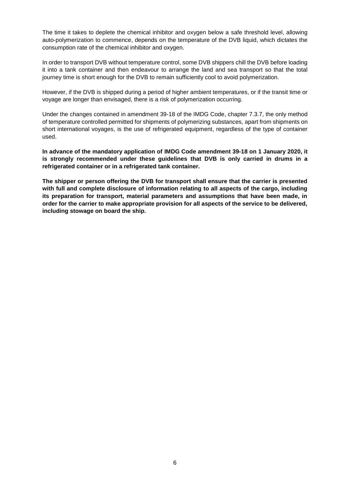The time it takes to deplete the chemical inhibitor and oxygen below a safe threshold level, allowing auto-polymerization to commence, depends on the temperature of the DVB liquid, which dictates the consumption rate of the chemical inhibitor and oxygen.

In order to transport DVB without temperature control, some DVB shippers chill the DVB before loading it into a tank container and then endeavour to arrange the land and sea transport so that the total journey time is short enough for the DVB to remain sufficiently cool to avoid polymerization.

However, if the DVB is shipped during a period of higher ambient temperatures, or if the transit time or voyage are longer than envisaged, there is a risk of polymerization occurring.

Under the changes contained in amendment 39-18 of the IMDG Code, chapter 7.3.7, the only method of temperature controlled permitted for shipments of polymerizing substances, apart from shipments on short international voyages, is the use of refrigerated equipment, regardless of the type of container used.

**In advance of the mandatory application of IMDG Code amendment 39-18 on 1 January 2020, it is strongly recommended under these guidelines that DVB is only carried in drums in a refrigerated container or in a refrigerated tank container.**

**The shipper or person offering the DVB for transport shall ensure that the carrier is presented with full and complete disclosure of information relating to all aspects of the cargo, including its preparation for transport, material parameters and assumptions that have been made, in order for the carrier to make appropriate provision for all aspects of the service to be delivered, including stowage on board the ship.**